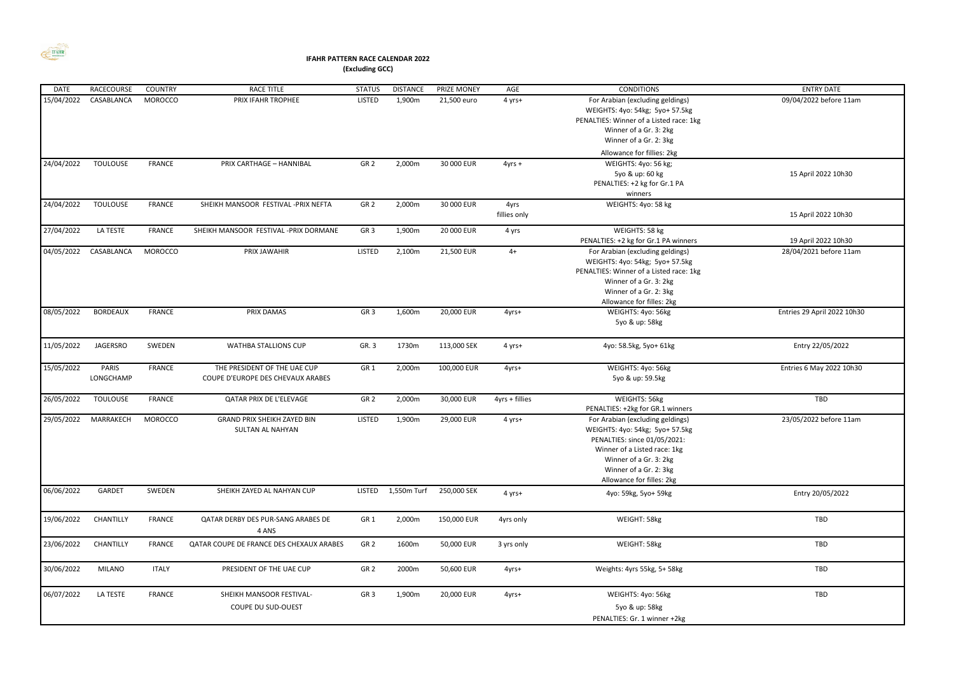

## **IFAHR PATTERN RACE CALENDAR 2022 (Excluding GCC)**

| <b>DATE</b> | RACECOURSE         | <b>COUNTRY</b> | <b>RACE TITLE</b>                                                 | <b>STATUS</b>   | <b>DISTANCE</b> | PRIZE MONEY | AGE                  | <b>CONDITIONS</b>                                                                                                                                                                                                    | <b>ENTRY DATE</b>           |
|-------------|--------------------|----------------|-------------------------------------------------------------------|-----------------|-----------------|-------------|----------------------|----------------------------------------------------------------------------------------------------------------------------------------------------------------------------------------------------------------------|-----------------------------|
| 15/04/2022  | CASABLANCA         | <b>MOROCCO</b> | PRIX IFAHR TROPHEE                                                | <b>LISTED</b>   | 1,900m          | 21,500 euro | 4 yrs+               | For Arabian (excluding geldings)<br>WEIGHTS: 4yo: 54kg; 5yo+ 57.5kg<br>PENALTIES: Winner of a Listed race: 1kg<br>Winner of a Gr. 3: 2kg<br>Winner of a Gr. 2: 3kg<br>Allowance for fillies: 2kg                     | 09/04/2022 before 11am      |
| 24/04/2022  | <b>TOULOUSE</b>    | <b>FRANCE</b>  | PRIX CARTHAGE - HANNIBAL                                          | GR <sub>2</sub> | 2,000m          | 30 000 EUR  | $4yrs +$             | WEIGHTS: 4yo: 56 kg;<br>5yo & up: 60 kg<br>PENALTIES: +2 kg for Gr.1 PA<br>winners                                                                                                                                   | 15 April 2022 10h30         |
| 24/04/2022  | <b>TOULOUSE</b>    | <b>FRANCE</b>  | SHEIKH MANSOOR FESTIVAL - PRIX NEFTA                              | GR <sub>2</sub> | 2,000m          | 30 000 EUR  | 4yrs<br>fillies only | WEIGHTS: 4yo: 58 kg                                                                                                                                                                                                  | 15 April 2022 10h30         |
| 27/04/2022  | LA TESTE           | <b>FRANCE</b>  | SHEIKH MANSOOR FESTIVAL - PRIX DORMANE                            | GR <sub>3</sub> | 1,900m          | 20 000 EUR  | 4 yrs                | WEIGHTS: 58 kg<br>PENALTIES: +2 kg for Gr.1 PA winners                                                                                                                                                               | 19 April 2022 10h30         |
| 04/05/2022  | CASABLANCA         | <b>MOROCCO</b> | PRIX JAWAHIR                                                      | <b>LISTED</b>   | 2,100m          | 21,500 EUR  | $4+$                 | For Arabian (excluding geldings)<br>WEIGHTS: 4yo: 54kg; 5yo+ 57.5kg<br>PENALTIES: Winner of a Listed race: 1kg<br>Winner of a Gr. 3: 2kg<br>Winner of a Gr. 2: 3kg<br>Allowance for filles: 2kg                      | 28/04/2021 before 11am      |
| 08/05/2022  | <b>BORDEAUX</b>    | <b>FRANCE</b>  | PRIX DAMAS                                                        | GR <sub>3</sub> | 1,600m          | 20,000 EUR  | 4yrs+                | WEIGHTS: 4yo: 56kg<br>5yo & up: 58kg                                                                                                                                                                                 | Entries 29 April 2022 10h30 |
| 11/05/2022  | <b>JAGERSRO</b>    | SWEDEN         | WATHBA STALLIONS CUP                                              | GR. 3           | 1730m           | 113,000 SEK | 4 yrs+               | 4yo: 58.5kg, 5yo+ 61kg                                                                                                                                                                                               | Entry 22/05/2022            |
| 15/05/2022  | PARIS<br>LONGCHAMP | FRANCE         | THE PRESIDENT OF THE UAE CUP<br>COUPE D'EUROPE DES CHEVAUX ARABES | GR <sub>1</sub> | 2,000m          | 100,000 EUR | 4yrs+                | WEIGHTS: 4yo: 56kg<br>5yo & up: 59.5kg                                                                                                                                                                               | Entries 6 May 2022 10h30    |
| 26/05/2022  | <b>TOULOUSE</b>    | FRANCE         | QATAR PRIX DE L'ELEVAGE                                           | GR <sub>2</sub> | 2,000m          | 30,000 EUR  | $4yrs +$ fillies     | WEIGHTS: 56kg<br>PENALTIES: +2kg for GR.1 winners                                                                                                                                                                    | TBD                         |
| 29/05/2022  | MARRAKECH          | <b>MOROCCO</b> | <b>GRAND PRIX SHEIKH ZAYED BIN</b><br>SULTAN AL NAHYAN            | <b>LISTED</b>   | 1,900m          | 29,000 EUR  | 4 yrs+               | For Arabian (excluding geldings)<br>WEIGHTS: 4yo: 54kg; 5yo+ 57.5kg<br>PENALTIES: since 01/05/2021:<br>Winner of a Listed race: 1kg<br>Winner of a Gr. 3: 2kg<br>Winner of a Gr. 2: 3kg<br>Allowance for filles: 2kg | 23/05/2022 before 11am      |
| 06/06/2022  | GARDET             | SWEDEN         | SHEIKH ZAYED AL NAHYAN CUP                                        | <b>LISTED</b>   | 1,550m Turf     | 250,000 SEK | 4 yrs+               | 4yo: 59kg, 5yo+ 59kg                                                                                                                                                                                                 | Entry 20/05/2022            |
| 19/06/2022  | CHANTILLY          | <b>FRANCE</b>  | QATAR DERBY DES PUR-SANG ARABES DE<br>4 ANS                       | GR <sub>1</sub> | 2,000m          | 150,000 EUR | 4yrs only            | WEIGHT: 58kg                                                                                                                                                                                                         | TBD                         |
| 23/06/2022  | CHANTILLY          | <b>FRANCE</b>  | QATAR COUPE DE FRANCE DES CHEXAUX ARABES                          | GR <sub>2</sub> | 1600m           | 50,000 EUR  | 3 yrs only           | WEIGHT: 58kg                                                                                                                                                                                                         | TBD                         |
| 30/06/2022  | MILANO             | <b>ITALY</b>   | PRESIDENT OF THE UAE CUP                                          | GR <sub>2</sub> | 2000m           | 50,600 EUR  | 4yrs+                | Weights: 4yrs 55kg, 5+ 58kg                                                                                                                                                                                          | TBD                         |
| 06/07/2022  | LA TESTE           | FRANCE         | SHEIKH MANSOOR FESTIVAL-<br>COUPE DU SUD-OUEST                    | GR <sub>3</sub> | 1,900m          | 20,000 EUR  | 4yrs+                | WEIGHTS: 4yo: 56kg<br>5yo & up: 58kg<br>PENALTIES: Gr. 1 winner +2kg                                                                                                                                                 | TBD                         |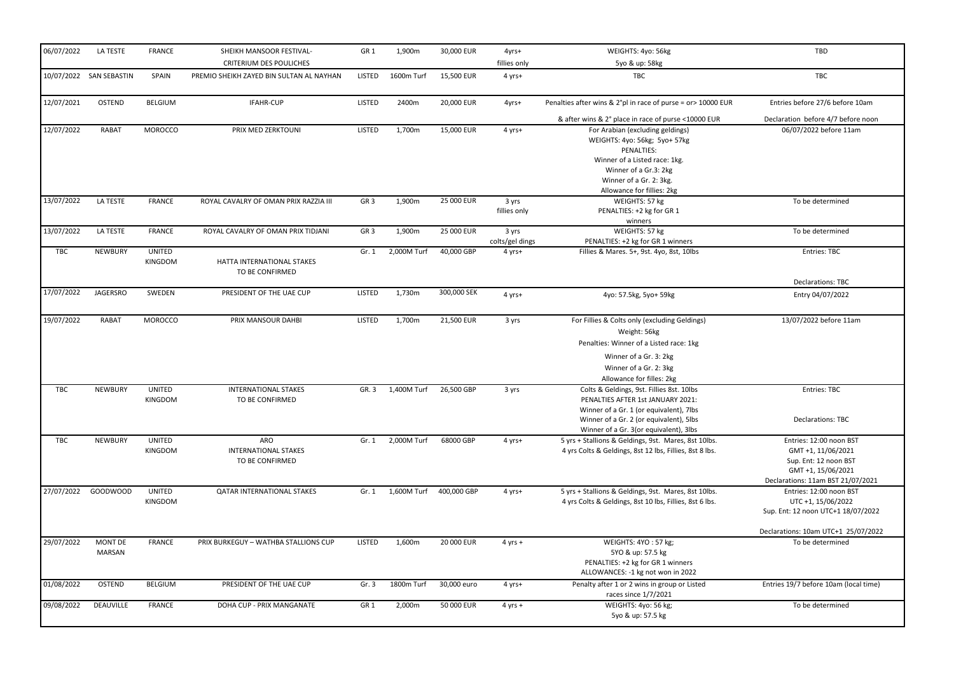| 06/07/2022 | LA TESTE                 | <b>FRANCE</b>            | SHEIKH MANSOOR FESTIVAL-<br><b>CRITERIUM DES POULICHES</b> | GR <sub>1</sub> | 1,900m      | 30,000 EUR  | 4yrs+<br>fillies only    | WEIGHTS: 4yo: 56kg<br>5yo & up: 58kg                                                                                                                                                                           | TBD                                                                                                                               |
|------------|--------------------------|--------------------------|------------------------------------------------------------|-----------------|-------------|-------------|--------------------------|----------------------------------------------------------------------------------------------------------------------------------------------------------------------------------------------------------------|-----------------------------------------------------------------------------------------------------------------------------------|
|            | 10/07/2022 SAN SEBASTIN  | SPAIN                    | PREMIO SHEIKH ZAYED BIN SULTAN AL NAYHAN                   | LISTED          | 1600m Turf  | 15,500 EUR  | 4 yrs+                   | TBC                                                                                                                                                                                                            | <b>TBC</b>                                                                                                                        |
| 12/07/2021 | <b>OSTEND</b>            | <b>BELGIUM</b>           | IFAHR-CUP                                                  | <b>LISTED</b>   | 2400m       | 20,000 EUR  | 4yrs+                    | Penalties after wins & 2°pl in race of purse = or> 10000 EUR                                                                                                                                                   | Entries before 27/6 before 10am                                                                                                   |
|            |                          |                          |                                                            |                 |             |             |                          | & after wins & 2° place in race of purse <10000 EUR                                                                                                                                                            | Declaration before 4/7 before noon                                                                                                |
| 12/07/2022 | RABAT                    | <b>MOROCCO</b>           | PRIX MED ZERKTOUNI                                         | <b>LISTED</b>   | 1,700m      | 15,000 EUR  | 4 yrs+                   | For Arabian (excluding geldings)<br>WEIGHTS: 4yo: 56kg; 5yo+ 57kg<br>PENALTIES:<br>Winner of a Listed race: 1kg.<br>Winner of a Gr.3: 2kg<br>Winner of a Gr. 2: 3kg.<br>Allowance for fillies: 2kg             | 06/07/2022 before 11am                                                                                                            |
| 13/07/2022 | LA TESTE                 | <b>FRANCE</b>            | ROYAL CAVALRY OF OMAN PRIX RAZZIA III                      | GR <sub>3</sub> | 1,900m      | 25 000 EUR  | 3 yrs<br>fillies only    | WEIGHTS: 57 kg<br>PENALTIES: +2 kg for GR 1<br>winners                                                                                                                                                         | To be determined                                                                                                                  |
| 13/07/2022 | LA TESTE                 | <b>FRANCE</b>            | ROYAL CAVALRY OF OMAN PRIX TIDJANI                         | GR <sub>3</sub> | 1,900m      | 25 000 EUR  | 3 yrs<br>colts/gel dings | WEIGHTS: 57 kg<br>PENALTIES: +2 kg for GR 1 winners                                                                                                                                                            | To be determined                                                                                                                  |
| <b>TBC</b> | NEWBURY                  | <b>UNITED</b><br>KINGDOM | HATTA INTERNATIONAL STAKES<br>TO BE CONFIRMED              | Gr. 1           | 2,000M Turf | 40,000 GBP  | 4 yrs+                   | Fillies & Mares. 5+, 9st. 4yo, 8st, 10lbs                                                                                                                                                                      | Entries: TBC                                                                                                                      |
|            |                          |                          |                                                            |                 |             |             |                          |                                                                                                                                                                                                                | Declarations: TBC                                                                                                                 |
| 17/07/2022 | JAGERSRO                 | SWEDEN                   | PRESIDENT OF THE UAE CUP                                   | <b>LISTED</b>   | 1,730m      | 300,000 SEK | 4 yrs+                   | 4yo: 57.5kg, 5yo+ 59kg                                                                                                                                                                                         | Entry 04/07/2022                                                                                                                  |
| 19/07/2022 | <b>RABAT</b>             | <b>MOROCCO</b>           | PRIX MANSOUR DAHBI                                         | <b>LISTED</b>   | 1,700m      | 21,500 EUR  | 3 yrs                    | For Fillies & Colts only (excluding Geldings)<br>Weight: 56kg<br>Penalties: Winner of a Listed race: 1kg<br>Winner of a Gr. 3: 2kg<br>Winner of a Gr. 2: 3kg<br>Allowance for filles: 2kg                      | 13/07/2022 before 11am                                                                                                            |
| <b>TBC</b> | <b>NEWBURY</b>           | <b>UNITED</b><br>KINGDOM | <b>INTERNATIONAL STAKES</b><br>TO BE CONFIRMED             | GR. 3           | 1,400M Turf | 26,500 GBP  | 3 yrs                    | Colts & Geldings, 9st. Fillies 8st. 10lbs<br>PENALTIES AFTER 1st JANUARY 2021:<br>Winner of a Gr. 1 (or equivalent), 7lbs<br>Winner of a Gr. 2 (or equivalent), 5lbs<br>Winner of a Gr. 3(or equivalent), 3lbs | <b>Entries: TBC</b><br>Declarations: TBC                                                                                          |
| <b>TBC</b> | <b>NEWBURY</b>           | UNITED<br>KINGDOM        | ARO<br><b>INTERNATIONAL STAKES</b><br>TO BE CONFIRMED      | Gr. 1           | 2,000M Turf | 68000 GBP   | 4 yrs+                   | 5 yrs + Stallions & Geldings, 9st. Mares, 8st 10lbs.<br>4 yrs Colts & Geldings, 8st 12 lbs, Fillies, 8st 8 lbs.                                                                                                | Entries: 12:00 noon BST<br>GMT +1, 11/06/2021<br>Sup. Ent: 12 noon BST<br>GMT +1, 15/06/2021<br>Declarations: 11am BST 21/07/2021 |
| 27/07/2022 | GOODWOOD                 | <b>UNITED</b><br>KINGDOM | <b>QATAR INTERNATIONAL STAKES</b>                          | Gr. 1           | 1,600M Turf | 400,000 GBP | 4 yrs+                   | 5 yrs + Stallions & Geldings, 9st. Mares, 8st 10lbs.<br>4 yrs Colts & Geldings, 8st 10 lbs, Fillies, 8st 6 lbs.                                                                                                | Entries: 12:00 noon BST<br>UTC +1, 15/06/2022<br>Sup. Ent: 12 noon UTC+1 18/07/2022                                               |
| 29/07/2022 | <b>MONT DE</b><br>MARSAN | <b>FRANCE</b>            | PRIX BURKEGUY - WATHBA STALLIONS CUP                       | <b>LISTED</b>   | 1,600m      | 20 000 EUR  | 4 yrs +                  | WEIGHTS: 4YO: 57 kg;<br>5YO & up: 57.5 kg<br>PENALTIES: +2 kg for GR 1 winners<br>ALLOWANCES: -1 kg not won in 2022                                                                                            | Declarations: 10am UTC+1 25/07/2022<br>To be determined                                                                           |
| 01/08/2022 | OSTEND                   | <b>BELGIUM</b>           | PRESIDENT OF THE UAE CUP                                   | Gr. 3           | 1800m Turf  | 30,000 euro | 4 yrs+                   | Penalty after 1 or 2 wins in group or Listed<br>races since 1/7/2021                                                                                                                                           | Entries 19/7 before 10am (local time)                                                                                             |
| 09/08/2022 | DEAUVILLE                | <b>FRANCE</b>            | DOHA CUP - PRIX MANGANATE                                  | GR <sub>1</sub> | 2,000m      | 50 000 EUR  | $4$ yrs +                | WEIGHTS: 4yo: 56 kg;<br>5yo & up: 57.5 kg                                                                                                                                                                      | To be determined                                                                                                                  |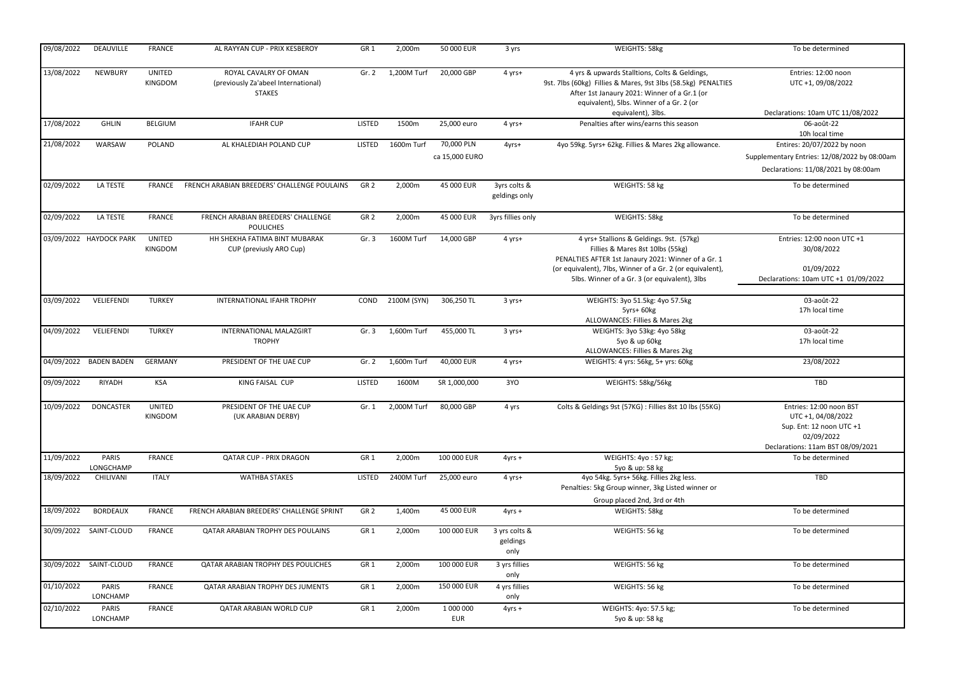| 09/08/2022 | <b>DEAUVILLE</b>         | <b>FRANCE</b>                   | AL RAYYAN CUP - PRIX KESBEROY                                                 | GR <sub>1</sub> | 2,000m      | 50 000 EUR              | 3 yrs                             | WEIGHTS: 58kg                                                                                                                                                                                              | To be determined                                                                                                             |
|------------|--------------------------|---------------------------------|-------------------------------------------------------------------------------|-----------------|-------------|-------------------------|-----------------------------------|------------------------------------------------------------------------------------------------------------------------------------------------------------------------------------------------------------|------------------------------------------------------------------------------------------------------------------------------|
| 13/08/2022 | <b>NEWBURY</b>           | <b>UNITED</b><br>KINGDOM        | ROYAL CAVALRY OF OMAN<br>(previously Za'abeel International)<br><b>STAKES</b> | Gr. 2           | 1,200M Turf | 20,000 GBP              | 4 yrs+                            | 4 yrs & upwards Stalltions, Colts & Geldings,<br>9st. 7lbs (60kg) Fillies & Mares, 9st 3lbs (58.5kg) PENALTIES<br>After 1st Janaury 2021: Winner of a Gr.1 (or<br>equivalent), 5lbs. Winner of a Gr. 2 (or | Entries: 12:00 noon<br>UTC +1, 09/08/2022                                                                                    |
|            |                          |                                 |                                                                               |                 |             |                         |                                   | equivalent), 3lbs.                                                                                                                                                                                         | Declarations: 10am UTC 11/08/2022                                                                                            |
| 17/08/2022 | <b>GHLIN</b>             | <b>BELGIUM</b>                  | <b>IFAHR CUP</b>                                                              | <b>LISTED</b>   | 1500m       | 25,000 euro             | 4 yrs+                            | Penalties after wins/earns this season                                                                                                                                                                     | 06-août-22<br>10h local time                                                                                                 |
| 21/08/2022 | WARSAW                   | POLAND                          | AL KHALEDIAH POLAND CUP                                                       | <b>LISTED</b>   | 1600m Turf  | 70,000 PLN              | 4yrs+                             | 4yo 59kg. 5yrs+ 62kg. Fillies & Mares 2kg allowance.                                                                                                                                                       | Entires: 20/07/2022 by noon                                                                                                  |
|            |                          |                                 |                                                                               |                 |             | ca 15,000 EURO          |                                   |                                                                                                                                                                                                            | Supplementary Entries: 12/08/2022 by 08:00am                                                                                 |
|            |                          |                                 |                                                                               |                 |             |                         |                                   |                                                                                                                                                                                                            | Declarations: 11/08/2021 by 08:00am                                                                                          |
| 02/09/2022 | LA TESTE                 | <b>FRANCE</b>                   | FRENCH ARABIAN BREEDERS' CHALLENGE POULAINS                                   | GR <sub>2</sub> | 2,000m      | 45 000 EUR              | 3yrs colts &<br>geldings only     | WEIGHTS: 58 kg                                                                                                                                                                                             | To be determined                                                                                                             |
| 02/09/2022 | LA TESTE                 | <b>FRANCE</b>                   | FRENCH ARABIAN BREEDERS' CHALLENGE<br><b>POULICHES</b>                        | GR <sub>2</sub> | 2,000m      | 45 000 EUR              | 3yrs fillies only                 | WEIGHTS: 58kg                                                                                                                                                                                              | To be determined                                                                                                             |
|            | 03/09/2022 HAYDOCK PARK  | <b>UNITED</b><br>KINGDOM        | HH SHEKHA FATIMA BINT MUBARAK<br>CUP (previusly ARO Cup)                      | Gr.3            | 1600M Turf  | 14,000 GBP              | 4 yrs+                            | 4 yrs+ Stallions & Geldings. 9st. (57kg)<br>Fillies & Mares 8st 10lbs (55kg)<br>PENALTIES AFTER 1st Janaury 2021: Winner of a Gr. 1<br>(or equivalent), 7lbs, Winner of a Gr. 2 (or equivalent),           | Entries: 12:00 noon UTC +1<br>30/08/2022<br>01/09/2022                                                                       |
|            |                          |                                 |                                                                               |                 |             |                         |                                   | 5lbs. Winner of a Gr. 3 (or equivalent), 3lbs                                                                                                                                                              | Declarations: 10am UTC +1 01/09/2022                                                                                         |
| 03/09/2022 | VELIEFENDI               | <b>TURKEY</b>                   | INTERNATIONAL IFAHR TROPHY                                                    | COND            | 2100M (SYN) | 306,250 TL              | 3 yrs+                            | WEIGHTS: 3yo 51.5kg: 4yo 57.5kg                                                                                                                                                                            | 03-août-22                                                                                                                   |
|            |                          |                                 |                                                                               |                 |             |                         |                                   | 5yrs+ 60kg                                                                                                                                                                                                 | 17h local time                                                                                                               |
|            |                          |                                 |                                                                               |                 |             |                         |                                   | ALLOWANCES: Fillies & Mares 2kg                                                                                                                                                                            |                                                                                                                              |
| 04/09/2022 | VELIEFENDI               | <b>TURKEY</b>                   | <b>INTERNATIONAL MALAZGIRT</b><br><b>TROPHY</b>                               | Gr. 3           | 1,600m Turf | 455,000 TL              | 3 yrs+                            | WEIGHTS: 3yo 53kg: 4yo 58kg<br>5yo & up 60kg                                                                                                                                                               | 03-août-22<br>17h local time                                                                                                 |
|            |                          |                                 |                                                                               |                 |             |                         |                                   | ALLOWANCES: Fillies & Mares 2kg                                                                                                                                                                            |                                                                                                                              |
| 04/09/2022 | <b>BADEN BADEN</b>       | <b>GERMANY</b>                  | PRESIDENT OF THE UAE CUP                                                      | Gr. $2$         | 1,600m Turf | 40,000 EUR              | 4 yrs+                            | WEIGHTS: 4 yrs: 56kg, 5+ yrs: 60kg                                                                                                                                                                         | 23/08/2022                                                                                                                   |
| 09/09/2022 | RIYADH                   | <b>KSA</b>                      | KING FAISAL CUP                                                               | <b>LISTED</b>   | 1600M       | SR 1,000,000            | 3YO                               | WEIGHTS: 58kg/56kg                                                                                                                                                                                         | TBD                                                                                                                          |
| 10/09/2022 | <b>DONCASTER</b>         | <b>UNITED</b><br><b>KINGDOM</b> | PRESIDENT OF THE UAE CUP<br>(UK ARABIAN DERBY)                                | Gr. 1           | 2,000M Turf | 80,000 GBP              | 4 yrs                             | Colts & Geldings 9st (57KG) : Fillies 8st 10 lbs (55KG)                                                                                                                                                    | Entries: 12:00 noon BST<br>UTC +1, 04/08/2022<br>Sup. Ent: 12 noon UTC +1<br>02/09/2022<br>Declarations: 11am BST 08/09/2021 |
| 11/09/2022 | PARIS<br>LONGCHAMP       | <b>FRANCE</b>                   | <b>QATAR CUP - PRIX DRAGON</b>                                                | GR <sub>1</sub> | 2,000m      | 100 000 EUR             | $4yrs +$                          | WEIGHTS: 4yo: 57 kg;<br>5yo & up: 58 kg                                                                                                                                                                    | To be determined                                                                                                             |
| 18/09/2022 | CHILIVANI                | <b>ITALY</b>                    | <b>WATHBA STAKES</b>                                                          | <b>LISTED</b>   | 2400M Turf  | 25,000 euro             | 4 yrs+                            | 4yo 54kg. 5yrs+ 56kg. Fillies 2kg less.                                                                                                                                                                    | TBD                                                                                                                          |
|            |                          |                                 |                                                                               |                 |             |                         |                                   | Penalties: 5kg Group winner, 3kg Listed winner or                                                                                                                                                          |                                                                                                                              |
|            |                          |                                 |                                                                               |                 |             |                         |                                   | Group placed 2nd, 3rd or 4th                                                                                                                                                                               |                                                                                                                              |
| 18/09/2022 | <b>BORDEAUX</b>          | <b>FRANCE</b>                   | FRENCH ARABIAN BREEDERS' CHALLENGE SPRINT                                     | GR <sub>2</sub> | 1,400m      | 45 000 EUR              | $4yrs +$                          | WEIGHTS: 58kg                                                                                                                                                                                              | To be determined                                                                                                             |
|            | 30/09/2022 SAINT-CLOUD   | <b>FRANCE</b>                   | QATAR ARABIAN TROPHY DES POULAINS                                             | GR <sub>1</sub> | 2,000m      | 100 000 EUR             | 3 yrs colts &<br>geldings<br>only | WEIGHTS: 56 kg                                                                                                                                                                                             | To be determined                                                                                                             |
|            | 30/09/2022 SAINT-CLOUD   | <b>FRANCE</b>                   | QATAR ARABIAN TROPHY DES POULICHES                                            | GR <sub>1</sub> | 2,000m      | 100 000 EUR             | 3 yrs fillies<br>only             | WEIGHTS: 56 kg                                                                                                                                                                                             | To be determined                                                                                                             |
| 01/10/2022 | PARIS<br>LONCHAMP        | FRANCE                          | QATAR ARABIAN TROPHY DES JUMENTS                                              | GR <sub>1</sub> | 2,000m      | 150 000 EUR             | 4 yrs fillies<br>only             | WEIGHTS: 56 kg                                                                                                                                                                                             | To be determined                                                                                                             |
| 02/10/2022 | <b>PARIS</b><br>LONCHAMP | <b>FRANCE</b>                   | QATAR ARABIAN WORLD CUP                                                       | GR <sub>1</sub> | 2,000m      | 1 000 000<br><b>EUR</b> | $4yrs +$                          | WEIGHTS: 4yo: 57.5 kg;<br>5yo & up: 58 kg                                                                                                                                                                  | To be determined                                                                                                             |
|            |                          |                                 |                                                                               |                 |             |                         |                                   |                                                                                                                                                                                                            |                                                                                                                              |